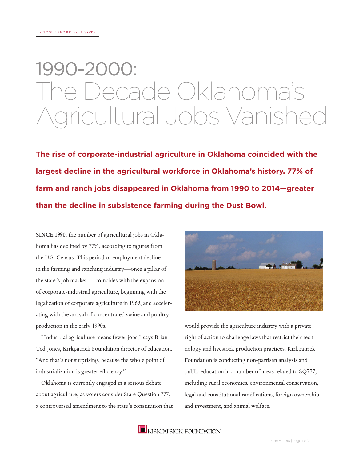# 1990-2000: The Decade Oklahoma's ral Jobs Vanis

**The rise of corporate-industrial agriculture in Oklahoma coincided with the largest decline in the agricultural workforce in Oklahoma's history. 77% of farm and ranch jobs disappeared in Oklahoma from 1990 to 2014—greater than the decline in subsistence farming during the Dust Bowl.**

SINCE 1990, the number of agricultural jobs in Oklahoma has declined by 77%, according to figures from the U.S. Census. This period of employment decline in the farming and ranching industry—once a pillar of the state's job market-—coincides with the expansion of corporate-industrial agriculture, beginning with the legalization of corporate agriculture in 1969, and accelerating with the arrival of concentrated swine and poultry production in the early 1990s.

"Industrial agriculture means fewer jobs," says Brian Ted Jones, Kirkpatrick Foundation director of education. "And that's not surprising, because the whole point of industrialization is greater efficiency."

Oklahoma is currently engaged in a serious debate about agriculture, as voters consider State Question 777, a controversial amendment to the state's constitution that



would provide the agriculture industry with a private right of action to challenge laws that restrict their technology and livestock production practices. Kirkpatrick Foundation is conducting non-partisan analysis and public education in a number of areas related to SQ777, including rural economies, environmental conservation, legal and constitutional ramifications, foreign ownership and investment, and animal welfare.

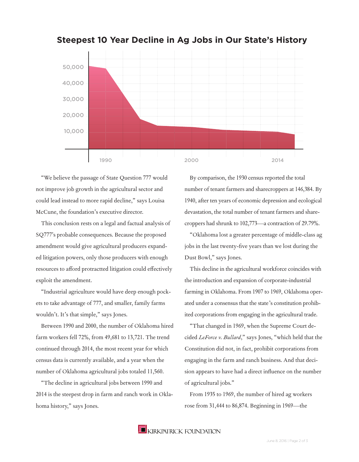

#### **Steepest 10 Year Decline in Ag Jobs in Our State's History**

"We believe the passage of State Question 777 would not improve job growth in the agricultural sector and could lead instead to more rapid decline," says Louisa McCune, the foundation's executive director.

This conclusion rests on a legal and factual analysis of SQ777's probable consequences. Because the proposed amendment would give agricultural producers expanded litigation powers, only those producers with enough resources to afford protractted litigation could effectively exploit the amendment.

"Industrial agriculture would have deep enough pockets to take advantage of 777, and smaller, family farms wouldn't. It's that simple," says Jones.

Between 1990 and 2000, the number of Oklahoma hired farm workers fell 72%, from 49,681 to 13,721. The trend continued through 2014, the most recent year for which census data is currently available, and a year when the number of Oklahoma agricultural jobs totaled 11,560.

"The decline in agricultural jobs between 1990 and 2014 is the steepest drop in farm and ranch work in Oklahoma history," says Jones.

By comparison, the 1930 census reported the total number of tenant farmers and sharecroppers at 146,384. By 1940, after ten years of economic depression and ecological devastation, the total number of tenant farmers and sharecroppers had shrunk to 102,773—a contraction of 29.79%.

"Oklahoma lost a greater percentage of middle-class ag jobs in the last twenty-five years than we lost during the Dust Bowl," says Jones.

This decline in the agricultural workforce coincides with the introduction and expansion of corporate-industrial farming in Oklahoma. From 1907 to 1969, Oklahoma operated under a consensus that the state's constitution prohibited corporations from engaging in the agricultural trade.

"That changed in 1969, when the Supreme Court decided *LeForce v. Bullard*," says Jones, "which held that the Constitution did not, in fact, prohibit corporations from engaging in the farm and ranch business. And that decision appears to have had a direct influence on the number of agricultural jobs."

From 1935 to 1969, the number of hired ag workers rose from 31,444 to 86,874. Beginning in 1969—the

**E** KIRKPATRICK FOUNDATION